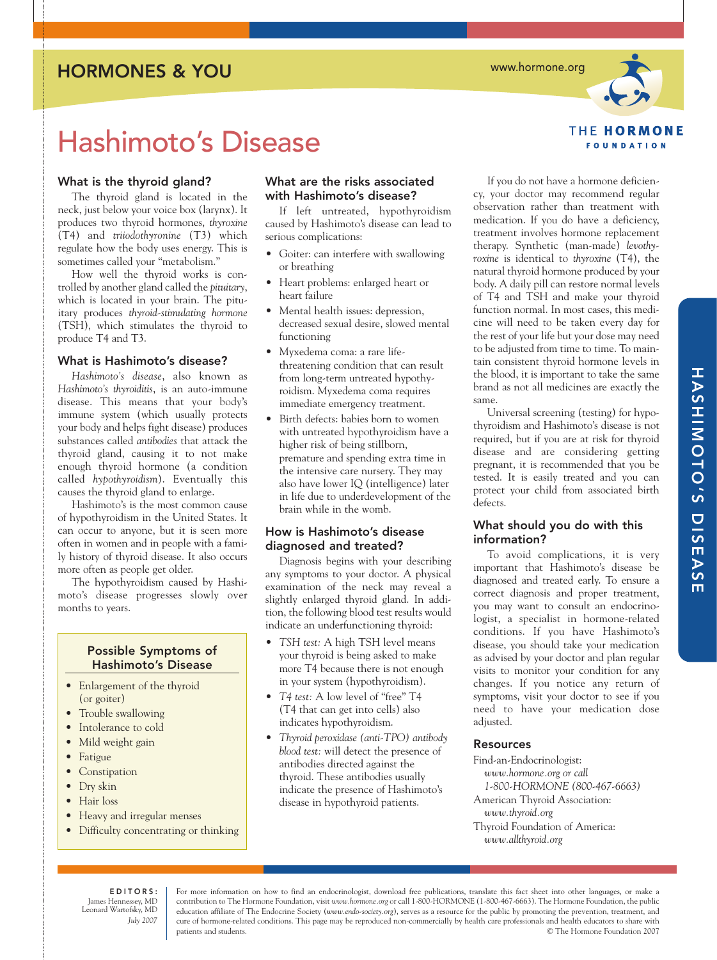# HORMONES & YOU

www.hormone.org



# Hashimoto's Disease

# What is the thyroid gland?

The thyroid gland is located in the neck, just below your voice box (larynx). It produces two thyroid hormones, *thyroxine* (T4) and *triiodothyronine* (T3) which regulate how the body uses energy. This is sometimes called your "metabolism."

How well the thyroid works is controlled by another gland called the *pituitary*, which is located in your brain. The pituitary produces *thyroid-stimulating hormone* (TSH), which stimulates the thyroid to produce T4 and T3.

### What is Hashimoto's disease?

*Hashimoto's disease*, also known as *Hashimoto's thyroiditis*, is an auto-immune disease. This means that your body's immune system (which usually protects your body and helps fight disease) produces substances called *antibodies* that attack the thyroid gland, causing it to not make enough thyroid hormone (a condition called *hypothyroidism*). Eventually this causes the thyroid gland to enlarge.

Hashimoto's is the most common cause of hypothyroidism in the United States. It can occur to anyone, but it is seen more often in women and in people with a family history of thyroid disease. It also occurs more often as people get older.

The hypothyroidism caused by Hashimoto's disease progresses slowly over months to years.

# Possible Symptoms of Hashimoto's Disease

- Enlargement of the thyroid (or goiter)
- Trouble swallowing
- Intolerance to cold
- Mild weight gain
- Fatigue
- Constipation
- Dry skin
- Hair loss
- Heavy and irregular menses
- Difficulty concentrating or thinking

## What are the risks associated with Hashimoto's disease?

If left untreated, hypothyroidism caused by Hashimoto's disease can lead to serious complications:

- Goiter: can interfere with swallowing or breathing
- Heart problems: enlarged heart or heart failure
- Mental health issues: depression, decreased sexual desire, slowed mental functioning
- Myxedema coma: a rare lifethreatening condition that can result from long-term untreated hypothyroidism. Myxedema coma requires immediate emergency treatment.
- Birth defects: babies born to women with untreated hypothyroidism have a higher risk of being stillborn, premature and spending extra time in the intensive care nursery. They may also have lower IQ (intelligence) later in life due to underdevelopment of the brain while in the womb.

## How is Hashimoto's disease diagnosed and treated?

Diagnosis begins with your describing any symptoms to your doctor. A physical examination of the neck may reveal a slightly enlarged thyroid gland. In addition, the following blood test results would indicate an underfunctioning thyroid:

- *TSH test:* A high TSH level means your thyroid is being asked to make more T4 because there is not enough in your system (hypothyroidism).
- *T4 test:* A low level of "free" T4 (T4 that can get into cells) also indicates hypothyroidism.
- *Thyroid peroxidase (anti-TPO) antibody blood test:* will detect the presence of antibodies directed against the thyroid. These antibodies usually indicate the presence of Hashimoto's disease in hypothyroid patients.

If you do not have a hormone deficiency, your doctor may recommend regular observation rather than treatment with medication. If you do have a deficiency, treatment involves hormone replacement therapy. Synthetic (man-made) *levothyroxine* is identical to *thyroxine* (T4), the natural thyroid hormone produced by your body. A daily pill can restore normal levels of T4 and TSH and make your thyroid function normal. In most cases, this medicine will need to be taken every day for the rest of your life but your dose may need to be adjusted from time to time. To maintain consistent thyroid hormone levels in the blood, it is important to take the same brand as not all medicines are exactly the same.

Universal screening (testing) for hypothyroidism and Hashimoto's disease is not required, but if you are at risk for thyroid disease and are considering getting pregnant, it is recommended that you be tested. It is easily treated and you can protect your child from associated birth defects.

## What should you do with this information?

To avoid complications, it is very important that Hashimoto's disease be diagnosed and treated early. To ensure a correct diagnosis and proper treatment, you may want to consult an endocrinologist, a specialist in hormone-related conditions. If you have Hashimoto's disease, you should take your medication as advised by your doctor and plan regular visits to monitor your condition for any changes. If you notice any return of symptoms, visit your doctor to see if you need to have your medication dose adiusted.

## **Resources**

Find-an-Endocrinologist: *www.hormone.org or call 1-800-HORMONE (800-467-6663)* American Thyroid Association: *www.thyroid.org* Thyroid Foundation of America: *www.allthyroid.org*

EDITORS: James Hennessey, MD Leonard Wartofsky, MD *July 2007* 

For more information on how to find an endocrinologist, download free publications, translate this fact sheet into other languages, or make a contribution to The Hormone Foundation, visit *www.hormone.org* or call 1-800-HORMONE (1-800-467-6663). The Hormone Foundation, the public education affiliate of The Endocrine Society (*www.endo-society.org*), serves as a resource for the public by promoting the prevention, treatment, and cure of hormone-related conditions. This page may be reproduced non-commercially by health care professionals and health educators to share with patients and students. © The Hormone Foundation 2007